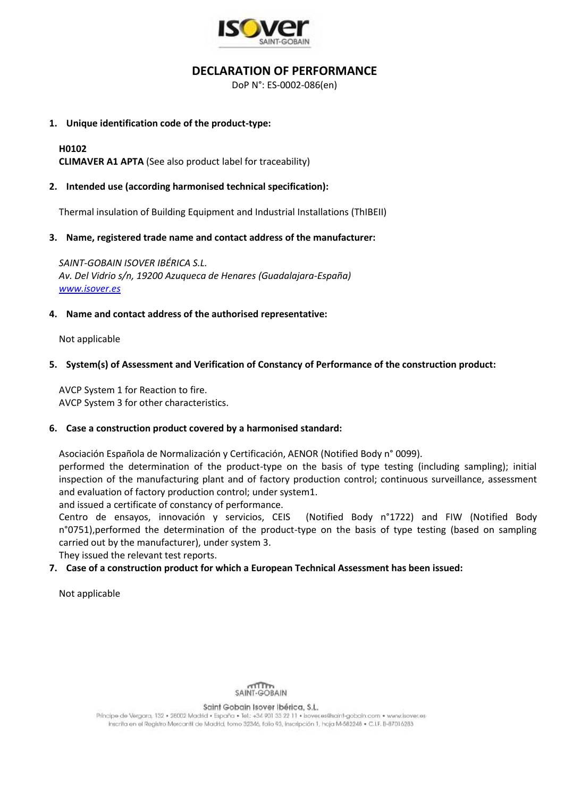

# **DECLARATION OF PERFORMANCE**

DoP N°: ES-0002-086(en)

## **1. Unique identification code of the product-type:**

# **H0102**

**CLIMAVER A1 APTA** (See also product label for traceability)

# **2. Intended use (according harmonised technical specification):**

Thermal insulation of Building Equipment and Industrial Installations (ThIBEII)

### **3. Name, registered trade name and contact address of the manufacturer:**

*SAINT-GOBAIN ISOVER IBÉRICA S.L. Av. Del Vidrio s/n, 19200 Azuqueca de Henares (Guadalajara-España) [www.isover.es](http://www.isover.es/)*

# **4. Name and contact address of the authorised representative:**

Not applicable

# **5. System(s) of Assessment and Verification of Constancy of Performance of the construction product:**

AVCP System 1 for Reaction to fire. AVCP System 3 for other characteristics.

### **6. Case a construction product covered by a harmonised standard:**

Asociación Española de Normalización y Certificación, AENOR (Notified Body n° 0099).

performed the determination of the product-type on the basis of type testing (including sampling); initial inspection of the manufacturing plant and of factory production control; continuous surveillance, assessment and evaluation of factory production control; under system1.

and issued a certificate of constancy of performance.

Centro de ensayos, innovación y servicios, CEIS (Notified Body n°1722) and FIW (Notified Body n°0751),performed the determination of the product-type on the basis of type testing (based on sampling carried out by the manufacturer), under system 3.

They issued the relevant test reports.

# **7. Case of a construction product for which a European Technical Assessment has been issued:**

Not applicable



#### Saint Gobain Isover Ibérica, S.L.

Principe de Vergara, 132 · 28002 Madrid · España · Tel.: +34 901 33 22 11 · Isover, es@saint-gobain.com · www.isover.es Inscrita en el Registro Mercantil de Madrid, tomo 32346, folio 93, inscripción 1, hoja M-582248 · C.I.F. B-87016283